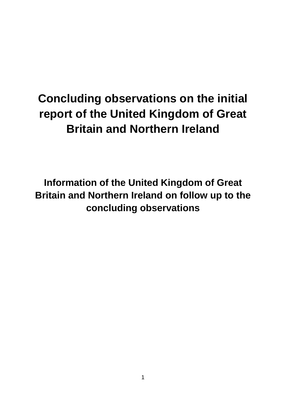# **Concluding observations on the initial report of the United Kingdom of Great Britain and Northern Ireland**

**Information of the United Kingdom of Great Britain and Northern Ireland on follow up to the concluding observations**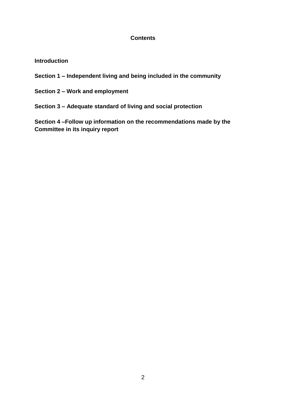#### **Contents**

#### **Introduction**

- **Section 1 – Independent living and being included in the community**
- **Section 2 – Work and employment**
- **Section 3 – Adequate standard of living and social protection**

**Section 4 –Follow up information on the recommendations made by the Committee in its inquiry report**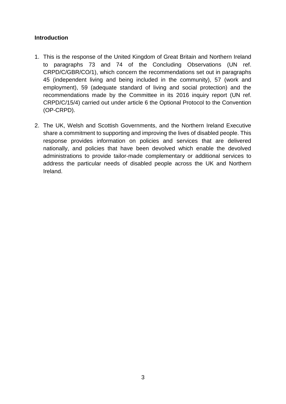#### **Introduction**

- 1. This is the response of the United Kingdom of Great Britain and Northern Ireland to paragraphs 73 and 74 of the Concluding Observations (UN ref. CRPD/C/GBR/CO/1), which concern the recommendations set out in paragraphs 45 (independent living and being included in the community), 57 (work and employment), 59 (adequate standard of living and social protection) and the recommendations made by the Committee in its 2016 inquiry report (UN ref. CRPD/C/15/4) carried out under article 6 the Optional Protocol to the Convention (OP-CRPD).
- 2. The UK, Welsh and Scottish Governments, and the Northern Ireland Executive share a commitment to supporting and improving the lives of disabled people. This response provides information on policies and services that are delivered nationally, and policies that have been devolved which enable the devolved administrations to provide tailor-made complementary or additional services to address the particular needs of disabled people across the UK and Northern Ireland.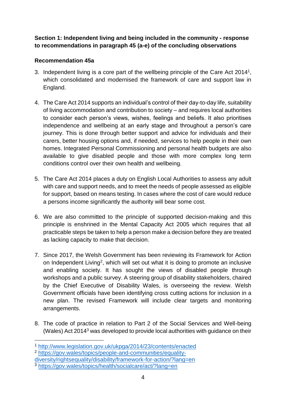## **Section 1: Independent living and being included in the community - response to recommendations in paragraph 45 (a-e) of the concluding observations**

# **Recommendation 45a**

- 3. Independent living is a core part of the wellbeing principle of the Care Act  $2014<sup>1</sup>$ , which consolidated and modernised the framework of care and support law in England.
- 4. The Care Act 2014 supports an individual's control of their day-to-day life, suitability of living accommodation and contribution to society – and requires local authorities to consider each person's views, wishes, feelings and beliefs. It also prioritises independence and wellbeing at an early stage and throughout a person's care journey. This is done through better support and advice for individuals and their carers, better housing options and, if needed, services to help people in their own homes. Integrated Personal Commissioning and personal health budgets are also available to give disabled people and those with more complex long term conditions control over their own health and wellbeing.
- 5. The Care Act 2014 places a duty on English Local Authorities to assess any adult with care and support needs, and to meet the needs of people assessed as eligible for support, based on means testing. In cases where the cost of care would reduce a persons income significantly the authority will bear some cost.
- 6. We are also committed to the principle of supported decision-making and this principle is enshrined in the Mental Capacity Act 2005 which requires that all practicable steps be taken to help a person make a decision before they are treated as lacking capacity to make that decision.
- 7. Since 2017, the Welsh Government has been reviewing its Framework for Action on Independent Living<sup>2</sup>, which will set out what it is doing to promote an inclusive and enabling society. It has sought the views of disabled people through workshops and a public survey. A steering group of disability stakeholders, chaired by the Chief Executive of Disability Wales, is overseeing the review. Welsh Government officials have been identifying cross cutting actions for inclusion in a new plan. The revised Framework will include clear targets and monitoring arrangements.
- 8. The code of practice in relation to Part 2 of the Social Services and Well-being (Wales) Act 2014<sup>3</sup> was developed to provide local authorities with guidance on their

1

<sup>1</sup> <http://www.legislation.gov.uk/ukpga/2014/23/contents/enacted>

<sup>2</sup> [https://gov.wales/topics/people-and-communities/equality](https://gov.wales/topics/people-and-communities/equality-diversity/rightsequality/disability/framework-for-action/?lang=en)[diversity/rightsequality/disability/framework-for-action/?lang=en](https://gov.wales/topics/people-and-communities/equality-diversity/rightsequality/disability/framework-for-action/?lang=en)

<sup>3</sup> <https://gov.wales/topics/health/socialcare/act/?lang=en>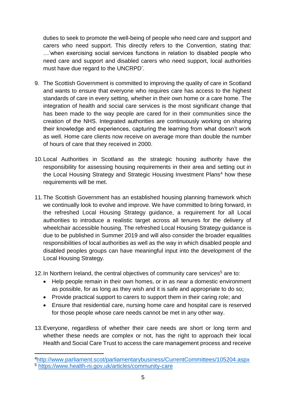duties to seek to promote the well-being of people who need care and support and carers who need support. This directly refers to the Convention, stating that: …'when exercising social services functions in relation to disabled people who need care and support and disabled carers who need support, local authorities must have due regard to the UNCRPD'.

- 9. The Scottish Government is committed to improving the quality of care in Scotland and wants to ensure that everyone who requires care has access to the highest standards of care in every setting, whether in their own home or a care home. The integration of health and social care services is the most significant change that has been made to the way people are cared for in their communities since the creation of the NHS. Integrated authorities are continuously working on sharing their knowledge and experiences, capturing the learning from what doesn't work as well. Home care clients now receive on average more than double the number of hours of care that they received in 2000.
- 10.Local Authorities in Scotland as the strategic housing authority have the responsibility for assessing housing requirements in their area and setting out in the Local Housing Strategy and Strategic Housing Investment Plans<sup>4</sup> how these requirements will be met.
- 11.The Scottish Government has an established housing planning framework which we continually look to evolve and improve. We have committed to bring forward, in the refreshed Local Housing Strategy guidance, a requirement for all Local authorities to introduce a realistic target across all tenures for the delivery of wheelchair accessible housing. The refreshed Local Housing Strategy guidance is due to be published in Summer 2019 and will also consider the broader equalities responsibilities of local authorities as well as the way in which disabled people and disabled peoples groups can have meaningful input into the development of the Local Housing Strategy.
- 12. In Northern Ireland, the central objectives of community care services<sup>5</sup> are to:
	- Help people remain in their own homes, or in as near a domestic environment as possible, for as long as they wish and it is safe and appropriate to do so;
	- Provide practical support to carers to support them in their caring role; and
	- Ensure that residential care, nursing home care and hospital care is reserved for those people whose care needs cannot be met in any other way.
- 13.Everyone, regardless of whether their care needs are short or long term and whether these needs are complex or not, has the right to approach their local Health and Social Care Trust to access the care management process and receive

**<sup>.</sup>** <sup>4</sup><http://www.parliament.scot/parliamentarybusiness/CurrentCommittees/105204.aspx> <sup>5</sup> <https://www.health-ni.gov.uk/articles/community-care>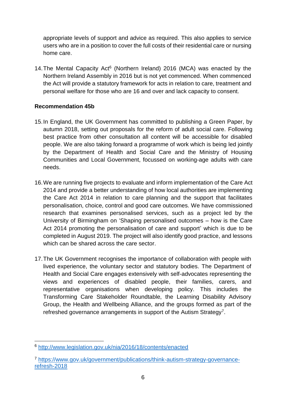appropriate levels of support and advice as required. This also applies to service users who are in a position to cover the full costs of their residential care or nursing home care.

14. The Mental Capacity Act<sup>6</sup> (Northern Ireland) 2016 (MCA) was enacted by the Northern Ireland Assembly in 2016 but is not yet commenced. When commenced the Act will provide a statutory framework for acts in relation to care, treatment and personal welfare for those who are 16 and over and lack capacity to consent.

## **Recommendation 45b**

- 15.In England, the UK Government has committed to publishing a Green Paper, by autumn 2018, setting out proposals for the reform of adult social care. Following best practice from other consultation all content will be accessible for disabled people. We are also taking forward a programme of work which is being led jointly by the Department of Health and Social Care and the Ministry of Housing Communities and Local Government, focussed on working-age adults with care needs.
- 16.We are running five projects to evaluate and inform implementation of the Care Act 2014 and provide a better understanding of how local authorities are implementing the Care Act 2014 in relation to care planning and the support that facilitates personalisation, choice, control and good care outcomes. We have commissioned research that examines personalised services, such as a project led by the University of Birmingham on 'Shaping personalised outcomes – how is the Care Act 2014 promoting the personalisation of care and support' which is due to be completed in August 2019. The project will also identify good practice, and lessons which can be shared across the care sector.
- 17.The UK Government recognises the importance of collaboration with people with lived experience, the voluntary sector and statutory bodies. The Department of Health and Social Care engages extensively with self-advocates representing the views and experiences of disabled people, their families, carers, and representative organisations when developing policy. This includes the Transforming Care Stakeholder Roundtable, the Learning Disability Advisory Group, the Health and Wellbeing Alliance, and the groups formed as part of the refreshed governance arrangements in support of the Autism Strategy<sup>7</sup>.

<sup>1</sup> <sup>6</sup> <http://www.legislation.gov.uk/nia/2016/18/contents/enacted>

<sup>7</sup> [https://www.gov.uk/government/publications/think-autism-strategy-governance](https://www.gov.uk/government/publications/think-autism-strategy-governance-refresh-2018)[refresh-2018](https://www.gov.uk/government/publications/think-autism-strategy-governance-refresh-2018)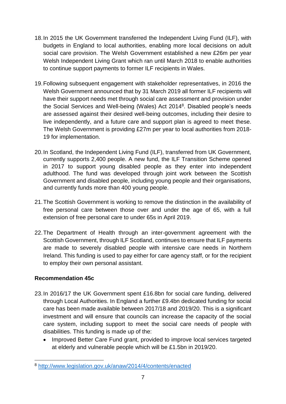- 18.In 2015 the UK Government transferred the Independent Living Fund (ILF), with budgets in England to local authorities, enabling more local decisions on adult social care provision. The Welsh Government established a new £26m per year Welsh Independent Living Grant which ran until March 2018 to enable authorities to continue support payments to former ILF recipients in Wales.
- 19.Following subsequent engagement with stakeholder representatives, in 2016 the Welsh Government announced that by 31 March 2019 all former ILF recipients will have their support needs met through social care assessment and provision under the Social Services and Well-being (Wales) Act 2014<sup>8</sup>. Disabled people's needs are assessed against their desired well-being outcomes, including their desire to live independently, and a future care and support plan is agreed to meet these. The Welsh Government is providing £27m per year to local authorities from 2018- 19 for implementation.
- 20.In Scotland, the Independent Living Fund (ILF), transferred from UK Government, currently supports 2,400 people. A new fund, the ILF Transition Scheme opened in 2017 to support young disabled people as they enter into independent adulthood. The fund was developed through joint work between the Scottish Government and disabled people, including young people and their organisations, and currently funds more than 400 young people.
- 21.The Scottish Government is working to remove the distinction in the availability of free personal care between those over and under the age of 65, with a full extension of free personal care to under 65s in April 2019.
- 22.The Department of Health through an inter-government agreement with the Scottish Government, through ILF Scotland, continues to ensure that ILF payments are made to severely disabled people with intensive care needs in Northern Ireland. This funding is used to pay either for care agency staff, or for the recipient to employ their own personal assistant.

# **Recommendation 45c**

- 23.In 2016/17 the UK Government spent £16.8bn for social care funding, delivered through Local Authorities. In England a further £9.4bn dedicated funding for social care has been made available between 2017/18 and 2019/20. This is a significant investment and will ensure that councils can increase the capacity of the social care system, including support to meet the social care needs of people with disabilities. This funding is made up of the:
	- Improved Better Care Fund grant, provided to improve local services targeted at elderly and vulnerable people which will be £1.5bn in 2019/20.

 $\overline{a}$ <sup>8</sup> <http://www.legislation.gov.uk/anaw/2014/4/contents/enacted>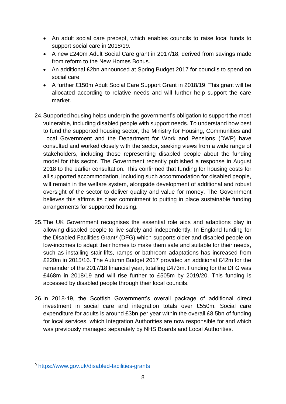- An adult social care precept, which enables councils to raise local funds to support social care in 2018/19.
- A new £240m Adult Social Care grant in 2017/18, derived from savings made from reform to the New Homes Bonus.
- An additional £2bn announced at Spring Budget 2017 for councils to spend on social care.
- A further £150m Adult Social Care Support Grant in 2018/19. This grant will be allocated according to relative needs and will further help support the care market.
- 24.Supported housing helps underpin the government's obligation to support the most vulnerable, including disabled people with support needs. To understand how best to fund the supported housing sector, the Ministry for Housing, Communities and Local Government and the Department for Work and Pensions (DWP) have consulted and worked closely with the sector, seeking views from a wide range of stakeholders, including those representing disabled people about the funding model for this sector. The Government recently published a response in August 2018 to the earlier consultation. This confirmed that funding for housing costs for all supported accommodation, including such accommodation for disabled people, will remain in the welfare system, alongside development of additional and robust oversight of the sector to deliver quality and value for money. The Government believes this affirms its clear commitment to putting in place sustainable funding arrangements for supported housing.
- 25.The UK Government recognises the essential role aids and adaptions play in allowing disabled people to live safely and independently. In England funding for the Disabled Facilities Grant<sup>9</sup> (DFG) which supports older and disabled people on low-incomes to adapt their homes to make them safe and suitable for their needs, such as installing stair lifts, ramps or bathroom adaptations has increased from £220m in 2015/16. The Autumn Budget 2017 provided an additional £42m for the remainder of the 2017/18 financial year, totalling £473m. Funding for the DFG was £468m in 2018/19 and will rise further to £505m by 2019/20. This funding is accessed by disabled people through their local councils.
- 26.In 2018-19, the Scottish Government's overall package of additional direct investment in social care and integration totals over £550m. Social care expenditure for adults is around £3bn per year within the overall £8.5bn of funding for local services, which Integration Authorities are now responsible for and which was previously managed separately by NHS Boards and Local Authorities.

 $\overline{a}$ 

<sup>9</sup> <https://www.gov.uk/disabled-facilities-grants>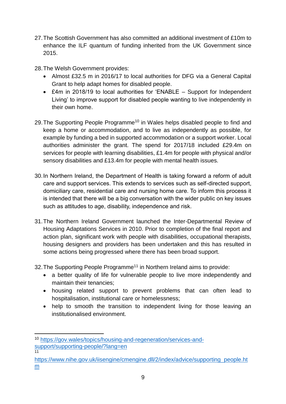- 27.The Scottish Government has also committed an additional investment of £10m to enhance the ILF quantum of funding inherited from the UK Government since 2015.
- 28.The Welsh Government provides:
	- Almost £32.5 m in 2016/17 to local authorities for DFG via a General Capital Grant to help adapt homes for disabled people.
	- £4m in 2018/19 to local authorities for 'ENABLE Support for Independent Living' to improve support for disabled people wanting to live independently in their own home.
- 29. The Supporting People Programme<sup>10</sup> in Wales helps disabled people to find and keep a home or accommodation, and to live as independently as possible, for example by funding a bed in supported accommodation or a support worker. Local authorities administer the grant. The spend for 2017/18 included £29.4m on services for people with learning disabilities, £1.4m for people with physical and/or sensory disabilities and £13.4m for people with mental health issues.
- 30.In Northern Ireland, the Department of Health is taking forward a reform of adult care and support services. This extends to services such as self-directed support, domiciliary care, residential care and nursing home care. To inform this process it is intended that there will be a big conversation with the wider public on key issues such as attitudes to age, disability, independence and risk.
- 31.The Northern Ireland Government launched the Inter-Departmental Review of Housing Adaptations Services in 2010. Prior to completion of the final report and action plan, significant work with people with disabilities, occupational therapists, housing designers and providers has been undertaken and this has resulted in some actions being progressed where there has been broad support.
- 32. The Supporting People Programme<sup>11</sup> in Northern Ireland aims to provide:
	- a better quality of life for vulnerable people to live more independently and maintain their tenancies;
	- housing related support to prevent problems that can often lead to hospitalisation, institutional care or homelessness;
	- help to smooth the transition to independent living for those leaving an institutionalised environment.

<sup>1</sup> <sup>10</sup> [https://gov.wales/topics/housing-and-regeneration/services-and](https://gov.wales/topics/housing-and-regeneration/services-and-support/supporting-people/?lang=en)[support/supporting-people/?lang=en](https://gov.wales/topics/housing-and-regeneration/services-and-support/supporting-people/?lang=en) 11

[https://www.nihe.gov.uk/iisengine/cmengine.dll/2/index/advice/supporting\\_people.ht](https://www.nihe.gov.uk/iisengine/cmengine.dll/2/index/advice/supporting_people.htm) [m](https://www.nihe.gov.uk/iisengine/cmengine.dll/2/index/advice/supporting_people.htm)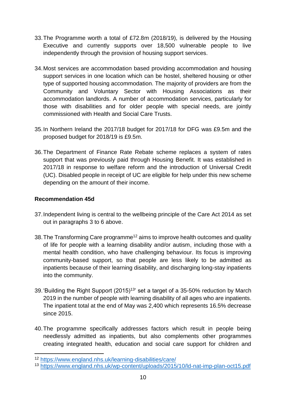- 33.The Programme worth a total of £72.8m (2018/19), is delivered by the Housing Executive and currently supports over 18,500 vulnerable people to live independently through the provision of housing support services.
- 34.Most services are accommodation based providing accommodation and housing support services in one location which can be hostel, sheltered housing or other type of supported housing accommodation. The majority of providers are from the Community and Voluntary Sector with Housing Associations as their accommodation landlords. A number of accommodation services, particularly for those with disabilities and for older people with special needs, are jointly commissioned with Health and Social Care Trusts.
- 35.In Northern Ireland the 2017/18 budget for 2017/18 for DFG was £9.5m and the proposed budget for 2018/19 is £9.5m.
- 36.The Department of Finance Rate Rebate scheme replaces a system of rates support that was previously paid through Housing Benefit. It was established in 2017/18 in response to welfare reform and the introduction of Universal Credit (UC). Disabled people in receipt of UC are eligible for help under this new scheme depending on the amount of their income.

## **Recommendation 45d**

- 37.Independent living is central to the wellbeing principle of the Care Act 2014 as set out in paragraphs 3 to 6 above.
- 38. The Transforming Care programme<sup>12</sup> aims to improve health outcomes and quality of life for people with a learning disability and/or autism, including those with a mental health condition, who have challenging behaviour. Its focus is improving community-based support, so that people are less likely to be admitted as inpatients because of their learning disability, and discharging long-stay inpatients into the community.
- 39.'Building the Right Support (2015)<sup>13</sup>' set a target of a 35-50% reduction by March 2019 in the number of people with learning disability of all ages who are inpatients. The inpatient total at the end of May was 2,400 which represents 16.5% decrease since 2015.
- 40.The programme specifically addresses factors which result in people being needlessly admitted as inpatients, but also complements other programmes creating integrated health, education and social care support for children and

**<sup>.</sup>** <sup>12</sup> <https://www.england.nhs.uk/learning-disabilities/care/>

<sup>13</sup> <https://www.england.nhs.uk/wp-content/uploads/2015/10/ld-nat-imp-plan-oct15.pdf>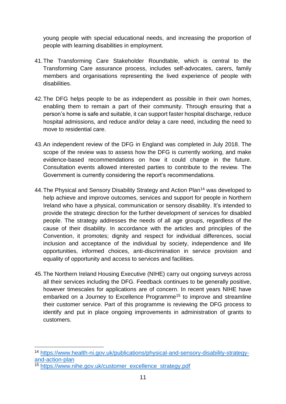young people with special educational needs, and increasing the proportion of people with learning disabilities in employment.

- 41.The Transforming Care Stakeholder Roundtable, which is central to the Transforming Care assurance process, includes self-advocates, carers, family members and organisations representing the lived experience of people with disabilities.
- 42.The DFG helps people to be as independent as possible in their own homes, enabling them to remain a part of their community. Through ensuring that a person's home is safe and suitable, it can support faster hospital discharge, reduce hospital admissions, and reduce and/or delay a care need, including the need to move to residential care.
- 43.An independent review of the DFG in England was completed in July 2018. The scope of the review was to assess how the DFG is currently working, and make evidence-based recommendations on how it could change in the future. Consultation events allowed interested parties to contribute to the review. The Government is currently considering the report's recommendations.
- 44. The Physical and Sensory Disability Strategy and Action Plan<sup>14</sup> was developed to help achieve and improve outcomes, services and support for people in Northern Ireland who have a physical, communication or sensory disability. It's intended to provide the strategic direction for the further development of services for disabled people. The strategy addresses the needs of all age groups, regardless of the cause of their disability. In accordance with the articles and principles of the Convention, it promotes; dignity and respect for individual differences, social inclusion and acceptance of the individual by society, independence and life opportunities, informed choices, anti-discrimination in service provision and equality of opportunity and access to services and facilities.
- 45.The Northern Ireland Housing Executive (NIHE) carry out ongoing surveys across all their services including the DFG. Feedback continues to be generally positive, however timescales for applications are of concern. In recent years NIHE have embarked on a Journey to Excellence Programme<sup>15</sup> to improve and streamline their customer service. Part of this programme is reviewing the DFG process to identify and put in place ongoing improvements in administration of grants to customers.

<sup>14</sup> [https://www.health-ni.gov.uk/publications/physical-and-sensory-disability-strategy](https://www.health-ni.gov.uk/publications/physical-and-sensory-disability-strategy-and-action-plan)[and-action-plan](https://www.health-ni.gov.uk/publications/physical-and-sensory-disability-strategy-and-action-plan)

<sup>15</sup> [https://www.nihe.gov.uk/customer\\_excellence\\_strategy.pdf](https://www.nihe.gov.uk/customer_excellence_strategy.pdf)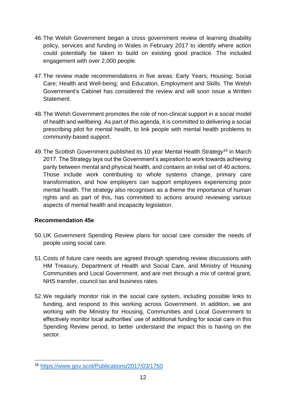- 46.The Welsh Government began a cross government review of learning disability policy, services and funding in Wales in February 2017 to identify where action could potentially be taken to build on existing good practice. The included engagement with over 2,000 people.
- 47.The review made recommendations in five areas: Early Years; Housing; Social Care; Health and Well-being; and Education, Employment and Skills. The Welsh Government's Cabinet has considered the review and will soon issue a Written Statement.
- 48.The Welsh Government promotes the role of non-clinical support in a social model of health and wellbeing. As part of this agenda, it is committed to delivering a social prescribing pilot for mental health, to link people with mental health problems to community-based support.
- 49. The Scottish Government published its 10 year Mental Health Strategy<sup>16</sup> in March 2017. The Strategy lays out the Government's aspiration to work towards achieving parity between mental and physical health, and contains an initial set of 40 actions. Those include work contributing to whole systems change, primary care transformation, and how employers can support employees experiencing poor mental health. The strategy also recognises as a theme the importance of human rights and as part of this, has committed to actions around reviewing various aspects of mental health and incapacity legislation.

# **Recommendation 45e**

- 50.UK Government Spending Review plans for social care consider the needs of people using social care.
- 51.Costs of future care needs are agreed through spending review discussions with HM Treasury, Department of Health and Social Care, and Ministry of Housing Communities and Local Government, and are met through a mix of central grant, NHS transfer, council tax and business rates.
- 52.We regularly monitor risk in the social care system, including possible links to funding, and respond to this working across Government. In addition, we are working with the Ministry for Housing, Communities and Local Government to effectively monitor local authorities' use of additional funding for social care in this Spending Review period, to better understand the impact this is having on the sector.

 $\overline{a}$ <sup>16</sup> <https://www.gov.scot/Publications/2017/03/1750>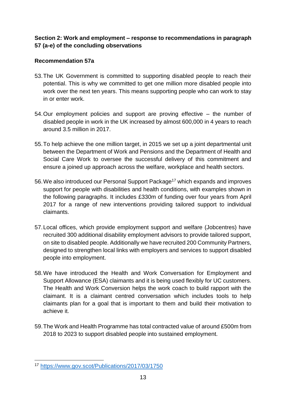## **Section 2: Work and employment – response to recommendations in paragraph 57 (a-e) of the concluding observations**

# **Recommendation 57a**

- 53.The UK Government is committed to supporting disabled people to reach their potential. This is why we committed to get one million more disabled people into work over the next ten years. This means supporting people who can work to stay in or enter work.
- 54.Our employment policies and support are proving effective the number of disabled people in work in the UK increased by almost 600,000 in 4 years to reach around 3.5 million in 2017.
- 55.To help achieve the one million target, in 2015 we set up a joint departmental unit between the Department of Work and Pensions and the Department of Health and Social Care Work to oversee the successful delivery of this commitment and ensure a joined up approach across the welfare, workplace and health sectors.
- 56. We also introduced our Personal Support Package<sup>17</sup> which expands and improves support for people with disabilities and health conditions, with examples shown in the following paragraphs. It includes £330m of funding over four years from April 2017 for a range of new interventions providing tailored support to individual claimants.
- 57.Local offices, which provide employment support and welfare (Jobcentres) have recruited 300 additional disability employment advisors to provide tailored support, on site to disabled people. Additionally we have recruited 200 Community Partners, designed to strengthen local links with employers and services to support disabled people into employment.
- 58.We have introduced the Health and Work Conversation for Employment and Support Allowance (ESA) claimants and it is being used flexibly for UC customers. The Health and Work Conversion helps the work coach to build rapport with the claimant. It is a claimant centred conversation which includes tools to help claimants plan for a goal that is important to them and build their motivation to achieve it.
- 59.The Work and Health Programme has total contracted value of around £500m from 2018 to 2023 to support disabled people into sustained employment.

 $\overline{a}$ <sup>17</sup> <https://www.gov.scot/Publications/2017/03/1750>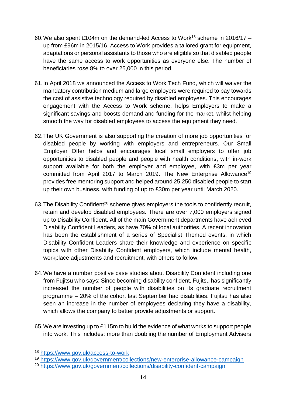- 60. We also spent £104m on the demand-led Access to Work<sup>18</sup> scheme in 2016/17 up from £96m in 2015/16. Access to Work provides a tailored grant for equipment, adaptations or personal assistants to those who are eligible so that disabled people have the same access to work opportunities as everyone else. The number of beneficiaries rose 8% to over 25,000 in this period.
- 61.In April 2018 we announced the Access to Work Tech Fund, which will waiver the mandatory contribution medium and large employers were required to pay towards the cost of assistive technology required by disabled employees. This encourages engagement with the Access to Work scheme, helps Employers to make a significant savings and boosts demand and funding for the market, whilst helping smooth the way for disabled employees to access the equipment they need.
- 62.The UK Government is also supporting the creation of more job opportunities for disabled people by working with employers and entrepreneurs. Our Small Employer Offer helps and encourages local small employers to offer job opportunities to disabled people and people with health conditions, with in-work support available for both the employer and employee, with £3m per year committed from April 2017 to March 2019. The New Enterprise Allowance<sup>19</sup> provides free mentoring support and helped around 25,250 disabled people to start up their own business, with funding of up to £30m per year until March 2020.
- 63. The Disability Confident<sup>20</sup> scheme gives employers the tools to confidently recruit, retain and develop disabled employees. There are over 7,000 employers signed up to Disability Confident. All of the main Government departments have achieved Disability Confident Leaders, as have 70% of local authorities. A recent innovation has been the establishment of a series of Specialist Themed events, in which Disability Confident Leaders share their knowledge and experience on specific topics with other Disability Confident employers, which include mental health, workplace adjustments and recruitment, with others to follow.
- 64.We have a number positive case studies about Disability Confident including one from Fujitsu who says: Since becoming disability confident, Fujitsu has significantly increased the number of people with disabilities on its graduate recruitment programme – 20% of the cohort last September had disabilities. Fujitsu has also seen an increase in the number of employees declaring they have a disability, which allows the company to better provide adjustments or support.
- 65.We are investing up to £115m to build the evidence of what works to support people into work. This includes: more than doubling the number of Employment Advisers

<sup>18</sup> <https://www.gov.uk/access-to-work>

<sup>19</sup> <https://www.gov.uk/government/collections/new-enterprise-allowance-campaign>

<sup>20</sup> <https://www.gov.uk/government/collections/disability-confident-campaign>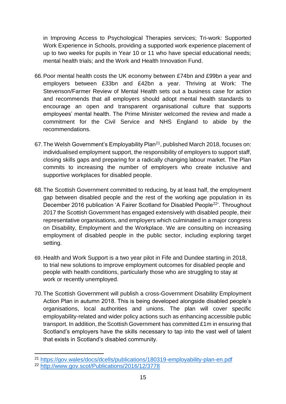in Improving Access to Psychological Therapies services; Tri-work: Supported Work Experience in Schools, providing a supported work experience placement of up to two weeks for pupils in Year 10 or 11 who have special educational needs; mental health trials; and the Work and Health Innovation Fund.

- 66.Poor mental health costs the UK economy between £74bn and £99bn a year and employers between £33bn and £42bn a year. Thriving at Work: The Stevenson/Farmer Review of Mental Health sets out a business case for action and recommends that all employers should adopt mental health standards to encourage an open and transparent organisational culture that supports employees' mental health. The Prime Minister welcomed the review and made a commitment for the Civil Service and NHS England to abide by the recommendations.
- 67.The Welsh Government's Employability Plan<sup>21</sup>, published March 2018, focuses on: individualised employment support, the responsibility of employers to support staff, closing skills gaps and preparing for a radically changing labour market. The Plan commits to increasing the number of employers who create inclusive and supportive workplaces for disabled people.
- 68.The Scottish Government committed to reducing, by at least half, the employment gap between disabled people and the rest of the working age population in its December 2016 publication 'A Fairer Scotland for Disabled People<sup>22</sup>'. Throughout 2017 the Scottish Government has engaged extensively with disabled people, their representative organisations, and employers which culminated in a major congress on Disability, Employment and the Workplace. We are consulting on increasing employment of disabled people in the public sector, including exploring target setting.
- 69. Health and Work Support is a two year pilot in Fife and Dundee starting in 2018, to trial new solutions to improve employment outcomes for disabled people and people with health conditions, particularly those who are struggling to stay at work or recently unemployed.
- 70.The Scottish Government will publish a cross-Government Disability Employment Action Plan in autumn 2018. This is being developed alongside disabled people's organisations, local authorities and unions. The plan will cover specific employability-related and wider policy actions such as enhancing accessible public transport. In addition, the Scottish Government has committed £1m in ensuring that Scotland's employers have the skills necessary to tap into the vast well of talent that exists in Scotland's disabled community.

**<sup>.</sup>** <sup>21</sup> <https://gov.wales/docs/dcells/publications/180319-employability-plan-en.pdf>

<sup>22</sup> <http://www.gov.scot/Publications/2016/12/3778>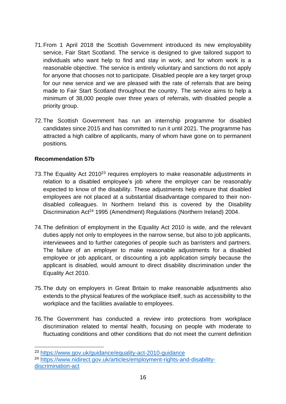- 71.From 1 April 2018 the Scottish Government introduced its new employability service, Fair Start Scotland. The service is designed to give tailored support to individuals who want help to find and stay in work, and for whom work is a reasonable objective. The service is entirely voluntary and sanctions do not apply for anyone that chooses not to participate. Disabled people are a key target group for our new service and we are pleased with the rate of referrals that are being made to Fair Start Scotland throughout the country. The service aims to help a minimum of 38,000 people over three years of referrals, with disabled people a priority group.
- 72.The Scottish Government has run an internship programme for disabled candidates since 2015 and has committed to run it until 2021. The programme has attracted a high calibre of applicants, many of whom have gone on to permanent positions.

## **Recommendation 57b**

- 73. The Equality Act 2010<sup>23</sup> requires employers to make reasonable adjustments in relation to a disabled employee's job where the employer can be reasonably expected to know of the disability. These adjustments help ensure that disabled employees are not placed at a substantial disadvantage compared to their nondisabled colleagues. In Northern Ireland this is covered by the Disability Discrimination Act<sup>24</sup> 1995 (Amendment) Regulations (Northern Ireland) 2004.
- 74.The definition of employment in the Equality Act 2010 is wide, and the relevant duties apply not only to employees in the narrow sense, but also to job applicants, interviewees and to further categories of people such as barristers and partners. The failure of an employer to make reasonable adjustments for a disabled employee or job applicant, or discounting a job application simply because the applicant is disabled, would amount to direct disability discrimination under the Equality Act 2010.
- 75.The duty on employers in Great Britain to make reasonable adjustments also extends to the physical features of the workplace itself, such as accessibility to the workplace and the facilities available to employees.
- 76.The Government has conducted a review into protections from workplace discrimination related to mental health, focusing on people with moderate to fluctuating conditions and other conditions that do not meet the current definition

<sup>23</sup> <https://www.gov.uk/guidance/equality-act-2010-guidance>

<sup>24</sup> [https://www.nidirect.gov.uk/articles/employment-rights-and-disability](https://www.nidirect.gov.uk/articles/employment-rights-and-disability-discrimination-act)[discrimination-act](https://www.nidirect.gov.uk/articles/employment-rights-and-disability-discrimination-act)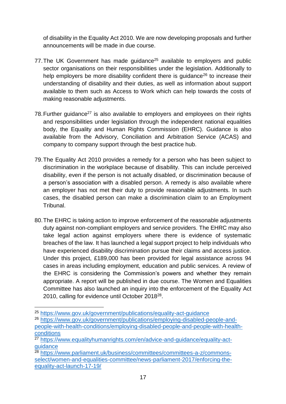of disability in the Equality Act 2010. We are now developing proposals and further announcements will be made in due course.

- 77. The UK Government has made quidance<sup>25</sup> available to employers and public sector organisations on their responsibilities under the legislation. Additionally to help employers be more disability confident there is quidance<sup>26</sup> to increase their understanding of disability and their duties, as well as information about support available to them such as Access to Work which can help towards the costs of making reasonable adjustments.
- 78. Further guidance<sup>27</sup> is also available to employers and employees on their rights and responsibilities under legislation through the independent national equalities body, the Equality and Human Rights Commission (EHRC). Guidance is also available from the Advisory, Conciliation and Arbitration Service (ACAS) and company to company support through the best practice hub.
- 79.The Equality Act 2010 provides a remedy for a person who has been subject to discrimination in the workplace because of disability. This can include perceived disability, even if the person is not actually disabled, or discrimination because of a person's association with a disabled person. A remedy is also available where an employer has not met their duty to provide reasonable adjustments. In such cases, the disabled person can make a discrimination claim to an Employment Tribunal.
- 80.The EHRC is taking action to improve enforcement of the reasonable adjustments duty against non-compliant employers and service providers. The EHRC may also take legal action against employers where there is evidence of systematic breaches of the law. It has launched a legal support project to help individuals who have experienced disability discrimination pursue their claims and access justice. Under this project, £189,000 has been provided for legal assistance across 94 cases in areas including employment, education and public services. A review of the EHRC is considering the Commission's powers and whether they remain appropriate. A report will be published in due course. The Women and Equalities Committee has also launched an inquiry into the enforcement of the Equality Act 2010, calling for evidence until October 2018<sup>28</sup>.

**<sup>.</sup>** <sup>25</sup> <https://www.gov.uk/government/publications/equality-act-guidance>

<sup>26</sup> [https://www.gov.uk/government/publications/employing-disabled-people-and](https://www.gov.uk/government/publications/employing-disabled-people-and-people-with-health-conditions/employing-disabled-people-and-people-with-health-conditions)[people-with-health-conditions/employing-disabled-people-and-people-with-health](https://www.gov.uk/government/publications/employing-disabled-people-and-people-with-health-conditions/employing-disabled-people-and-people-with-health-conditions)[conditions](https://www.gov.uk/government/publications/employing-disabled-people-and-people-with-health-conditions/employing-disabled-people-and-people-with-health-conditions)

<sup>&</sup>lt;sup>27</sup> [https://www.equalityhumanrights.com/en/advice-and-guidance/equality-act](https://www.equalityhumanrights.com/en/advice-and-guidance/equality-act-guidance)[guidance](https://www.equalityhumanrights.com/en/advice-and-guidance/equality-act-guidance)

<sup>28</sup> [https://www.parliament.uk/business/committees/committees-a-z/commons](https://www.parliament.uk/business/committees/committees-a-z/commons-select/women-and-equalities-committee/news-parliament-2017/enforcing-the-equality-act-launch-17-19/)[select/women-and-equalities-committee/news-parliament-2017/enforcing-the](https://www.parliament.uk/business/committees/committees-a-z/commons-select/women-and-equalities-committee/news-parliament-2017/enforcing-the-equality-act-launch-17-19/)[equality-act-launch-17-19/](https://www.parliament.uk/business/committees/committees-a-z/commons-select/women-and-equalities-committee/news-parliament-2017/enforcing-the-equality-act-launch-17-19/)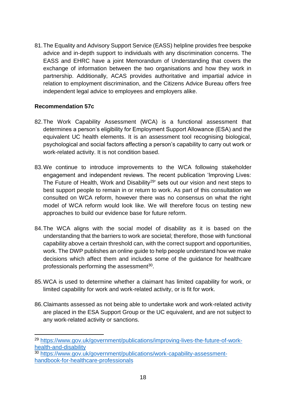81.The Equality and Advisory Support Service (EASS) helpline provides free bespoke advice and in-depth support to individuals with any discrimination concerns. The EASS and EHRC have a joint Memorandum of Understanding that covers the exchange of information between the two organisations and how they work in partnership. Additionally, ACAS provides authoritative and impartial advice in relation to employment discrimination, and the Citizens Advice Bureau offers free independent legal advice to employees and employers alike.

## **Recommendation 57c**

- 82.The Work Capability Assessment (WCA) is a functional assessment that determines a person's eligibility for Employment Support Allowance (ESA) and the equivalent UC health elements. It is an assessment tool recognising biological, psychological and social factors affecting a person's capability to carry out work or work-related activity. It is not condition based.
- 83.We continue to introduce improvements to the WCA following stakeholder engagement and independent reviews. The recent publication 'Improving Lives: The Future of Health, Work and Disability<sup>29</sup>' sets out our vision and next steps to best support people to remain in or return to work. As part of this consultation we consulted on WCA reform, however there was no consensus on what the right model of WCA reform would look like. We will therefore focus on testing new approaches to build our evidence base for future reform.
- 84.The WCA aligns with the social model of disability as it is based on the understanding that the barriers to work are societal; therefore, those with functional capability above a certain threshold can, with the correct support and opportunities, work. The DWP publishes an online guide to help people understand how we make decisions which affect them and includes some of the guidance for healthcare professionals performing the assessment<sup>30</sup>.
- 85.WCA is used to determine whether a claimant has limited capability for work, or limited capability for work and work-related activity, or is fit for work.
- 86.Claimants assessed as not being able to undertake work and work-related activity are placed in the ESA Support Group or the UC equivalent, and are not subject to any work-related activity or sanctions.

 $\overline{a}$ <sup>29</sup> [https://www.gov.uk/government/publications/improving-lives-the-future-of-work](https://www.gov.uk/government/publications/improving-lives-the-future-of-work-health-and-disability)[health-and-disability](https://www.gov.uk/government/publications/improving-lives-the-future-of-work-health-and-disability)

<sup>30</sup> [https://www.gov.uk/government/publications/work-capability-assessment](https://www.gov.uk/government/publications/work-capability-assessment-handbook-for-healthcare-professionals)[handbook-for-healthcare-professionals](https://www.gov.uk/government/publications/work-capability-assessment-handbook-for-healthcare-professionals)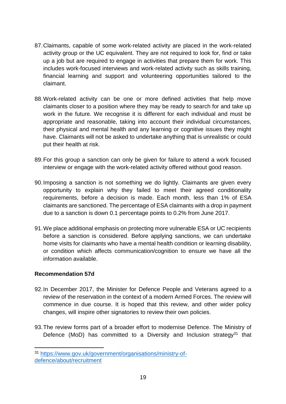- 87.Claimants, capable of some work-related activity are placed in the work-related activity group or the UC equivalent. They are not required to look for, find or take up a job but are required to engage in activities that prepare them for work. This includes work-focused interviews and work-related activity such as skills training, financial learning and support and volunteering opportunities tailored to the claimant.
- 88.Work-related activity can be one or more defined activities that help move claimants closer to a position where they may be ready to search for and take up work in the future. We recognise it is different for each individual and must be appropriate and reasonable, taking into account their individual circumstances, their physical and mental health and any learning or cognitive issues they might have. Claimants will not be asked to undertake anything that is unrealistic or could put their health at risk.
- 89.For this group a sanction can only be given for failure to attend a work focused interview or engage with the work-related activity offered without good reason.
- 90.Imposing a sanction is not something we do lightly. Claimants are given every opportunity to explain why they failed to meet their agreed conditionality requirements, before a decision is made. Each month, less than 1% of ESA claimants are sanctioned. The percentage of ESA claimants with a drop in payment due to a sanction is down 0.1 percentage points to 0.2% from June 2017.
- 91.We place additional emphasis on protecting more vulnerable ESA or UC recipients before a sanction is considered. Before applying sanctions, we can undertake home visits for claimants who have a mental health condition or learning disability, or condition which affects communication/cognition to ensure we have all the information available.

## **Recommendation 57d**

- 92.In December 2017, the Minister for Defence People and Veterans agreed to a review of the reservation in the context of a modern Armed Forces. The review will commence in due course. It is hoped that this review, and other wider policy changes, will inspire other signatories to review their own policies.
- 93.The review forms part of a broader effort to modernise Defence. The Ministry of Defence (MoD) has committed to a Diversity and Inclusion strategy<sup>31</sup> that

<sup>31</sup> [https://www.gov.uk/government/organisations/ministry-of](https://www.gov.uk/government/organisations/ministry-of-defence/about/recruitment)[defence/about/recruitment](https://www.gov.uk/government/organisations/ministry-of-defence/about/recruitment)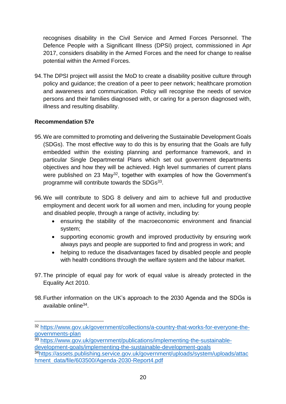recognises disability in the Civil Service and Armed Forces Personnel. The Defence People with a Significant Illness (DPSI) project, commissioned in Apr 2017, considers disability in the Armed Forces and the need for change to realise potential within the Armed Forces.

94.The DPSI project will assist the MoD to create a disability positive culture through policy and guidance; the creation of a peer to peer network; healthcare promotion and awareness and communication. Policy will recognise the needs of service persons and their families diagnosed with, or caring for a person diagnosed with, illness and resulting disability.

## **Recommendation 57e**

- 95.We are committed to promoting and delivering the Sustainable Development Goals (SDGs). The most effective way to do this is by ensuring that the Goals are fully embedded within the existing planning and performance framework, and in particular Single Departmental Plans which set out government departments objectives and how they will be achieved. High level summaries of current plans were published on 23 May<sup>32</sup>, together with examples of how the Government's programme will contribute towards the SDGs<sup>33</sup>.
- 96.We will contribute to SDG 8 delivery and aim to achieve full and productive employment and decent work for all women and men, including for young people and disabled people, through a range of activity, including by:
	- ensuring the stability of the macroeconomic environment and financial system;
	- supporting economic growth and improved productivity by ensuring work always pays and people are supported to find and progress in work; and
	- helping to reduce the disadvantages faced by disabled people and people with health conditions through the welfare system and the labour market.
- 97.The principle of equal pay for work of equal value is already protected in the Equality Act 2010.
- 98.Further information on the UK's approach to the 2030 Agenda and the SDGs is available online<sup>34</sup>.

<sup>32</sup> [https://www.gov.uk/government/collections/a-country-that-works-for-everyone-the](https://www.gov.uk/government/collections/a-country-that-works-for-everyone-the-governments-plan)[governments-plan](https://www.gov.uk/government/collections/a-country-that-works-for-everyone-the-governments-plan)

<sup>33</sup> [https://www.gov.uk/government/publications/implementing-the-sustainable](https://www.gov.uk/government/publications/implementing-the-sustainable-development-goals/implementing-the-sustainable-development-goals)[development-goals/implementing-the-sustainable-development-goals](https://www.gov.uk/government/publications/implementing-the-sustainable-development-goals/implementing-the-sustainable-development-goals)

<sup>34</sup>[https://assets.publishing.service.gov.uk/government/uploads/system/uploads/attac](https://assets.publishing.service.gov.uk/government/uploads/system/uploads/attachment_data/file/603500/Agenda-2030-Report4.pdf) [hment\\_data/file/603500/Agenda-2030-Report4.pdf](https://assets.publishing.service.gov.uk/government/uploads/system/uploads/attachment_data/file/603500/Agenda-2030-Report4.pdf)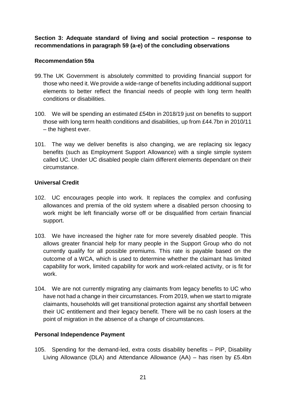**Section 3: Adequate standard of living and social protection – response to recommendations in paragraph 59 (a-e) of the concluding observations**

## **Recommendation 59a**

- 99.The UK Government is absolutely committed to providing financial support for those who need it. We provide a wide-range of benefits including additional support elements to better reflect the financial needs of people with long term health conditions or disabilities.
- 100. We will be spending an estimated £54bn in 2018/19 just on benefits to support those with long term health conditions and disabilities, up from £44.7bn in 2010/11 – the highest ever.
- 101. The way we deliver benefits is also changing, we are replacing six legacy benefits (such as Employment Support Allowance) with a single simple system called UC. Under UC disabled people claim different elements dependant on their circumstance.

## **Universal Credit**

- 102. UC encourages people into work. It replaces the complex and confusing allowances and premia of the old system where a disabled person choosing to work might be left financially worse off or be disqualified from certain financial support.
- 103. We have increased the higher rate for more severely disabled people. This allows greater financial help for many people in the Support Group who do not currently qualify for all possible premiums. This rate is payable based on the outcome of a WCA, which is used to determine whether the claimant has limited capability for work, limited capability for work and work-related activity, or is fit for work.
- 104. We are not currently migrating any claimants from legacy benefits to UC who have not had a change in their circumstances. From 2019, when we start to migrate claimants, households will get transitional protection against any shortfall between their UC entitlement and their legacy benefit. There will be no cash losers at the point of migration in the absence of a change of circumstances.

## **Personal Independence Payment**

105. Spending for the demand-led, extra costs disability benefits – PIP, Disability Living Allowance (DLA) and Attendance Allowance (AA) – has risen by £5.4bn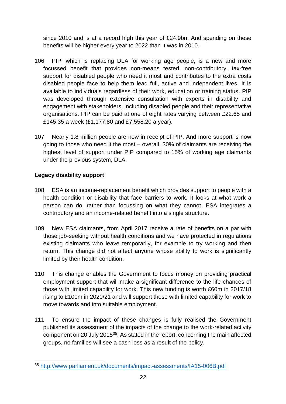since 2010 and is at a record high this year of £24.9bn. And spending on these benefits will be higher every year to 2022 than it was in 2010.

- 106. PIP, which is replacing DLA for working age people, is a new and more focussed benefit that provides non-means tested, non-contributory, tax-free support for disabled people who need it most and contributes to the extra costs disabled people face to help them lead full, active and independent lives. It is available to individuals regardless of their work, education or training status. PIP was developed through extensive consultation with experts in disability and engagement with stakeholders, including disabled people and their representative organisations. PIP can be paid at one of eight rates varying between £22.65 and £145.35 a week (£1,177.80 and £7,558.20 a year).
- 107. Nearly 1.8 million people are now in receipt of PIP. And more support is now going to those who need it the most – overall, 30% of claimants are receiving the highest level of support under PIP compared to 15% of working age claimants under the previous system, DLA.

# **Legacy disability support**

 $\overline{a}$ 

- 108. ESA is an income-replacement benefit which provides support to people with a health condition or disability that face barriers to work. It looks at what work a person can do, rather than focussing on what they cannot. ESA integrates a contributory and an income-related benefit into a single structure.
- 109. New ESA claimants, from April 2017 receive a rate of benefits on a par with those job-seeking without health conditions and we have protected in regulations existing claimants who leave temporarily, for example to try working and then return. This change did not affect anyone whose ability to work is significantly limited by their health condition.
- 110. This change enables the Government to focus money on providing practical employment support that will make a significant difference to the life chances of those with limited capability for work. This new funding is worth £60m in 2017/18 rising to £100m in 2020/21 and will support those with limited capability for work to move towards and into suitable employment.
- 111. To ensure the impact of these changes is fully realised the Government published its assessment of the impacts of the change to the work-related activity component on 20 July 2015<sup>35</sup>. As stated in the report, concerning the main affected groups, no families will see a cash loss as a result of the policy.

<sup>35</sup> <http://www.parliament.uk/documents/impact-assessments/IA15-006B.pdf>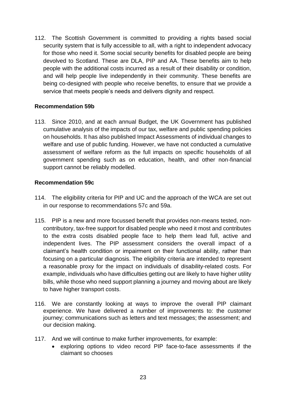112. The Scottish Government is committed to providing a rights based social security system that is fully accessible to all, with a right to independent advocacy for those who need it. Some social security benefits for disabled people are being devolved to Scotland. These are DLA, PIP and AA. These benefits aim to help people with the additional costs incurred as a result of their disability or condition, and will help people live independently in their community. These benefits are being co-designed with people who receive benefits, to ensure that we provide a service that meets people's needs and delivers dignity and respect.

## **Recommendation 59b**

113. Since 2010, and at each annual Budget, the UK Government has published cumulative analysis of the impacts of our tax, welfare and public spending policies on households. It has also published Impact Assessments of individual changes to welfare and use of public funding. However, we have not conducted a cumulative assessment of welfare reform as the full impacts on specific households of all government spending such as on education, health, and other non-financial support cannot be reliably modelled.

#### **Recommendation 59c**

- 114. The eligibility criteria for PIP and UC and the approach of the WCA are set out in our response to recommendations 57c and 59a.
- 115. PIP is a new and more focussed benefit that provides non-means tested, noncontributory, tax-free support for disabled people who need it most and contributes to the extra costs disabled people face to help them lead full, active and independent lives. The PIP assessment considers the overall impact of a claimant's health condition or impairment on their functional ability, rather than focusing on a particular diagnosis. The eligibility criteria are intended to represent a reasonable proxy for the impact on individuals of disability-related costs. For example, individuals who have difficulties getting out are likely to have higher utility bills, while those who need support planning a journey and moving about are likely to have higher transport costs.
- 116. We are constantly looking at ways to improve the overall PIP claimant experience. We have delivered a number of improvements to: the customer journey; communications such as letters and text messages; the assessment; and our decision making.
- 117. And we will continue to make further improvements, for example:
	- exploring options to video record PIP face-to-face assessments if the claimant so chooses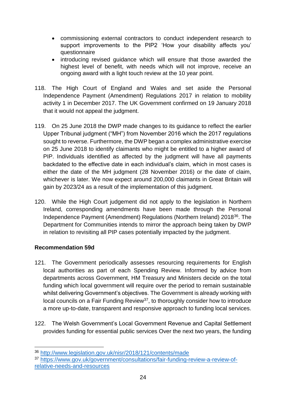- commissioning external contractors to conduct independent research to support improvements to the PIP2 'How your disability affects you' questionnaire
- introducing revised guidance which will ensure that those awarded the highest level of benefit, with needs which will not improve, receive an ongoing award with a light touch review at the 10 year point.
- 118. The High Court of England and Wales and set aside the Personal Independence Payment (Amendment) Regulations 2017 in relation to mobility activity 1 in December 2017. The UK Government confirmed on 19 January 2018 that it would not appeal the judgment.
- 119. On 25 June 2018 the DWP made changes to its guidance to reflect the earlier Upper Tribunal judgment ("MH") from November 2016 which the 2017 regulations sought to reverse. Furthermore, the DWP began a complex administrative exercise on 25 June 2018 to identify claimants who might be entitled to a higher award of PIP. Individuals identified as affected by the judgment will have all payments backdated to the effective date in each individual's claim, which in most cases is either the date of the MH judgment (28 November 2016) or the date of claim, whichever is later. We now expect around 200,000 claimants in Great Britain will gain by 2023/24 as a result of the implementation of this judgment.
- 120. While the High Court judgement did not apply to the legislation in Northern Ireland, corresponding amendments have been made through the Personal Independence Payment (Amendment) Regulations (Northern Ireland) 2018<sup>36</sup>. The Department for Communities intends to mirror the approach being taken by DWP in relation to revisiting all PIP cases potentially impacted by the judgment.

## **Recommendation 59d**

- 121. The Government periodically assesses resourcing requirements for English local authorities as part of each Spending Review. Informed by advice from departments across Government, HM Treasury and Ministers decide on the total funding which local government will require over the period to remain sustainable whilst delivering Government's objectives. The Government is already working with local councils on a Fair Funding Review<sup>37</sup>, to thoroughly consider how to introduce a more up-to-date, transparent and responsive approach to funding local services.
- 122. The Welsh Government's Local Government Revenue and Capital Settlement provides funding for essential public services Over the next two years, the funding

<sup>36</sup> <http://www.legislation.gov.uk/nisr/2018/121/contents/made>

<sup>37</sup> [https://www.gov.uk/government/consultations/fair-funding-review-a-review-of](https://www.gov.uk/government/consultations/fair-funding-review-a-review-of-relative-needs-and-resources)[relative-needs-and-resources](https://www.gov.uk/government/consultations/fair-funding-review-a-review-of-relative-needs-and-resources)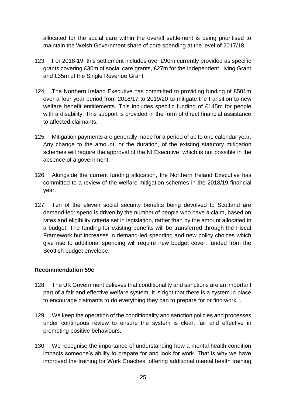allocated for the social care within the overall settlement is being prioritised to maintain the Welsh Government share of core spending at the level of 2017/18.

- 123. For 2018-19, this settlement includes over £90m currently provided as specific grants covering £30m of social care grants, £27m for the Independent Living Grant and £35m of the Single Revenue Grant.
- 124. The Northern Ireland Executive has committed to providing funding of £501m over a four year period from 2016/17 to 2019/20 to mitigate the transition to new welfare benefit entitlements. This includes specific funding of £145m for people with a disability. This support is provided in the form of direct financial assistance to affected claimants.
- 125. Mitigation payments are generally made for a period of up to one calendar year. Any change to the amount, or the duration, of the existing statutory mitigation schemes will require the approval of the NI Executive, which is not possible in the absence of a government.
- 126. Alongside the current funding allocation, the Northern Ireland Executive has committed to a review of the welfare mitigation schemes in the 2018/19 financial year.
- 127. Ten of the eleven social security benefits being devolved to Scotland are demand-led: spend is driven by the number of people who have a claim, based on rates and eligibility criteria set in legislation, rather than by the amount allocated in a budget. The funding for existing benefits will be transferred through the Fiscal Framework but increases in demand-led spending and new policy choices which give rise to additional spending will require new budget cover, funded from the Scottish budget envelope.

## **Recommendation 59e**

- 128. The UK Government believes that conditionality and sanctions are an important part of a fair and effective welfare system. It is right that there is a system in place to encourage claimants to do everything they can to prepare for or find work. .
- 129. We keep the operation of the conditionality and sanction policies and processes under continuous review to ensure the system is clear, fair and effective in promoting positive behaviours.
- 130. We recognise the importance of understanding how a mental health condition impacts someone's ability to prepare for and look for work. That is why we have improved the training for Work Coaches, offering additional mental health training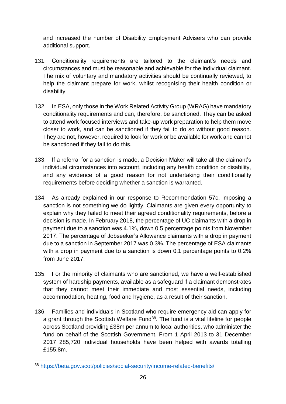and increased the number of Disability Employment Advisers who can provide additional support.

- 131. Conditionality requirements are tailored to the claimant's needs and circumstances and must be reasonable and achievable for the individual claimant. The mix of voluntary and mandatory activities should be continually reviewed, to help the claimant prepare for work, whilst recognising their health condition or disability.
- 132. In ESA, only those in the Work Related Activity Group (WRAG) have mandatory conditionality requirements and can, therefore, be sanctioned. They can be asked to attend work focused interviews and take-up work preparation to help them move closer to work, and can be sanctioned if they fail to do so without good reason. They are not, however, required to look for work or be available for work and cannot be sanctioned if they fail to do this.
- 133. If a referral for a sanction is made, a Decision Maker will take all the claimant's individual circumstances into account, including any health condition or disability, and any evidence of a good reason for not undertaking their conditionality requirements before deciding whether a sanction is warranted.
- 134. As already explained in our response to Recommendation 57c, imposing a sanction is not something we do lightly. Claimants are given every opportunity to explain why they failed to meet their agreed conditionality requirements, before a decision is made. In February 2018, the percentage of UC claimants with a drop in payment due to a sanction was 4.1%, down 0.5 percentage points from November 2017. The percentage of Jobseeker's Allowance claimants with a drop in payment due to a sanction in September 2017 was 0.3%. The percentage of ESA claimants with a drop in payment due to a sanction is down 0.1 percentage points to 0.2% from June 2017.
- 135. For the minority of claimants who are sanctioned, we have a well-established system of hardship payments, available as a safeguard if a claimant demonstrates that they cannot meet their immediate and most essential needs, including accommodation, heating, food and hygiene, as a result of their sanction.
- 136. Families and individuals in Scotland who require emergency aid can apply for a grant through the Scottish Welfare Fund<sup>38</sup>. The fund is a vital lifeline for people across Scotland providing £38m per annum to local authorities, who administer the fund on behalf of the Scottish Government. From 1 April 2013 to 31 December 2017 285,720 individual households have been helped with awards totalling £155.8m.

 $\overline{a}$ <sup>38</sup> <https://beta.gov.scot/policies/social-security/income-related-benefits/>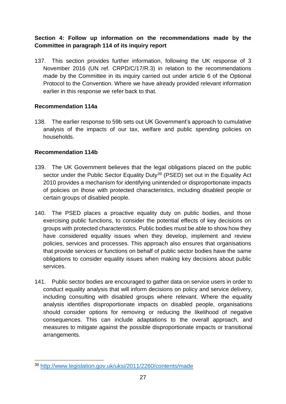## **Section 4: Follow up information on the recommendations made by the Committee in paragraph 114 of its inquiry report**

137. This section provides further information, following the UK response of 3 November 2016 (UN ref. CRPD/C/17/R.3) in relation to the recommendations made by the Committee in its inquiry carried out under article 6 of the Optional Protocol to the Convention. Where we have already provided relevant information earlier in this response we refer back to that.

## **Recommendation 114a**

138. The earlier response to 59b sets out UK Government's approach to cumulative analysis of the impacts of our tax, welfare and public spending policies on households.

## **Recommendation 114b**

- 139. The UK Government believes that the legal obligations placed on the public sector under the Public Sector Equality Duty<sup>39</sup> (PSED) set out in the Equality Act 2010 provides a mechanism for identifying unintended or disproportionate impacts of policies on those with protected characteristics, including disabled people or certain groups of disabled people.
- 140. The PSED places a proactive equality duty on public bodies, and those exercising public functions, to consider the potential effects of key decisions on groups with protected characteristics. Public bodies must be able to show how they have considered equality issues when they develop, implement and review policies, services and processes. This approach also ensures that organisations that provide services or functions on behalf of public sector bodies have the same obligations to consider equality issues when making key decisions about public services.
- 141. Public sector bodies are encouraged to gather data on service users in order to conduct equality analysis that will inform decisions on policy and service delivery, including consulting with disabled groups where relevant. Where the equality analysis identifies disproportionate impacts on disabled people, organisations should consider options for removing or reducing the likelihood of negative consequences. This can include adaptations to the overall approach, and measures to mitigate against the possible disproportionate impacts or transitional arrangements.

 $\overline{a}$ <sup>39</sup> <http://www.legislation.gov.uk/uksi/2011/2260/contents/made>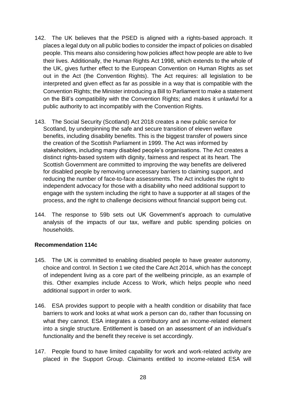- 142. The UK believes that the PSED is aligned with a rights-based approach. It places a legal duty on all public bodies to consider the impact of policies on disabled people. This means also considering how policies affect how people are able to live their lives. Additionally, the Human Rights Act 1998, which extends to the whole of the UK, gives further effect to the European Convention on Human Rights as set out in the Act (the Convention Rights). The Act requires: all legislation to be interpreted and given effect as far as possible in a way that is compatible with the Convention Rights; the Minister introducing a Bill to Parliament to make a statement on the Bill's compatibility with the Convention Rights; and makes it unlawful for a public authority to act incompatibly with the Convention Rights.
- 143. The Social Security (Scotland) Act 2018 creates a new public service for Scotland, by underpinning the safe and secure transition of eleven welfare benefits, including disability benefits. This is the biggest transfer of powers since the creation of the Scottish Parliament in 1999. The Act was informed by stakeholders, including many disabled people's organisations. The Act creates a distinct rights-based system with dignity, fairness and respect at its heart. The Scottish Government are committed to improving the way benefits are delivered for disabled people by removing unnecessary barriers to claiming support, and reducing the number of face-to-face assessments. The Act includes the right to independent advocacy for those with a disability who need additional support to engage with the system including the right to have a supporter at all stages of the process, and the right to challenge decisions without financial support being cut.
- 144. The response to 59b sets out UK Government's approach to cumulative analysis of the impacts of our tax, welfare and public spending policies on households.

#### **Recommendation 114c**

- 145. The UK is committed to enabling disabled people to have greater autonomy, choice and control. In Section 1 we cited the Care Act 2014, which has the concept of independent living as a core part of the wellbeing principle, as an example of this. Other examples include Access to Work, which helps people who need additional support in order to work.
- 146. ESA provides support to people with a health condition or disability that face barriers to work and looks at what work a person can do, rather than focussing on what they cannot. ESA integrates a contributory and an income-related element into a single structure. Entitlement is based on an assessment of an individual's functionality and the benefit they receive is set accordingly.
- 147. People found to have limited capability for work and work-related activity are placed in the Support Group. Claimants entitled to income-related ESA will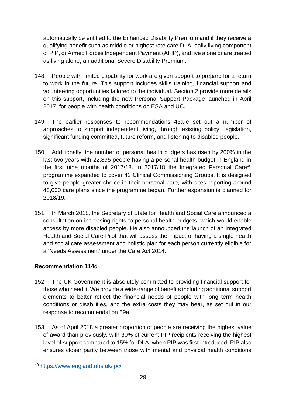automatically be entitled to the Enhanced Disability Premium and if they receive a qualifying benefit such as middle or highest rate care DLA, daily living component of PIP, or Armed Forces Independent Payment (AFIP), and live alone or are treated as living alone, an additional Severe Disability Premium.

- 148. People with limited capability for work are given support to prepare for a return to work in the future. This support includes skills training, financial support and volunteering opportunities tailored to the individual. Section 2 provide more details on this support, including the new Personal Support Package launched in April 2017, for people with health conditions on ESA and UC.
- 149. The earlier responses to recommendations 45a-e set out a number of approaches to support independent living, through existing policy, legislation, significant funding committed, future reform, and listening to disabled people.
- 150. Additionally, the number of personal health budgets has risen by 200% in the last two years with 22,895 people having a personal health budget in England in the first nine months of 2017/18. In 2017/18 the Integrated Personal Care<sup>40</sup> programme expanded to cover 42 Clinical Commissioning Groups. It is designed to give people greater choice in their personal care, with sites reporting around 48,000 care plans since the programme began. Further expansion is planned for 2018/19.
- 151. In March 2018, the Secretary of State for Health and Social Care announced a consultation on increasing rights to personal health budgets, which would enable access by more disabled people. He also announced the launch of an Integrated Health and Social Care Pilot that will assess the impact of having a single health and social care assessment and holistic plan for each person currently eligible for a 'Needs Assessment' under the Care Act 2014.

# **Recommendation 114d**

- 152. The UK Government is absolutely committed to providing financial support for those who need it. We provide a wide-range of benefits including additional support elements to better reflect the financial needs of people with long term health conditions or disabilities, and the extra costs they may bear, as set out in our response to recommendation 59a.
- 153. As of April 2018 a greater proportion of people are receiving the highest value of award than previously, with 30% of current PIP recipients receiving the highest level of support compared to 15% for DLA, when PIP was first introduced. PIP also ensures closer parity between those with mental and physical health conditions

 $\overline{a}$ <sup>40</sup> <https://www.england.nhs.uk/ipc/>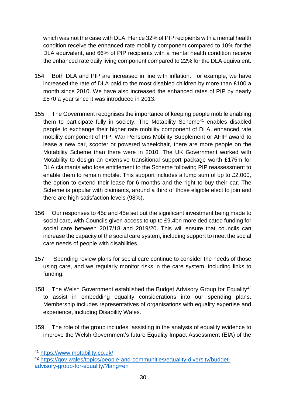which was not the case with DLA. Hence 32% of PIP recipients with a mental health condition receive the enhanced rate mobility component compared to 10% for the DLA equivalent, and 66% of PIP recipients with a mental health condition receive the enhanced rate daily living component compared to 22% for the DLA equivalent.

- 154. Both DLA and PIP are increased in line with inflation. For example, we have increased the rate of DLA paid to the most disabled children by more than £100 a month since 2010. We have also increased the enhanced rates of PIP by nearly £570 a year since it was introduced in 2013.
- 155. The Government recognises the importance of keeping people mobile enabling them to participate fully in society. The Motability Scheme<sup>41</sup> enables disabled people to exchange their higher rate mobility component of DLA, enhanced rate mobility component of PIP, War Pensions Mobility Supplement or AFIP award to lease a new car, scooter or powered wheelchair, there are more people on the Motability Scheme than there were in 2010. The UK Government worked with Motability to design an extensive transitional support package worth £175m for DLA claimants who lose entitlement to the Scheme following PIP reassessment to enable them to remain mobile. This support includes a lump sum of up to £2,000, the option to extend their lease for 6 months and the right to buy their car. The Scheme is popular with claimants, around a third of those eligible elect to join and there are high satisfaction levels (98%).
- 156. Our responses to 45c and 45e set out the significant investment being made to social care, with Councils given access to up to £9.4bn more dedicated funding for social care between 2017/18 and 2019/20. This will ensure that councils can increase the capacity of the social care system, including support to meet the social care needs of people with disabilities.
- 157. Spending review plans for social care continue to consider the needs of those using care, and we regularly monitor risks in the care system, including links to funding.
- 158. The Welsh Government established the Budget Advisory Group for Equality<sup>42</sup> to assist in embedding equality considerations into our spending plans. Membership includes representatives of organisations with equality expertise and experience, including Disability Wales.
- 159. The role of the group includes: assisting in the analysis of equality evidence to improve the Welsh Government's future Equality Impact Assessment (EIA) of the

<sup>41</sup> <https://www.motability.co.uk/>

<sup>42</sup> [https://gov.wales/topics/people-and-communities/equality-diversity/budget](https://gov.wales/topics/people-and-communities/equality-diversity/budget-advisory-group-for-equality/?lang=en)[advisory-group-for-equality/?lang=en](https://gov.wales/topics/people-and-communities/equality-diversity/budget-advisory-group-for-equality/?lang=en)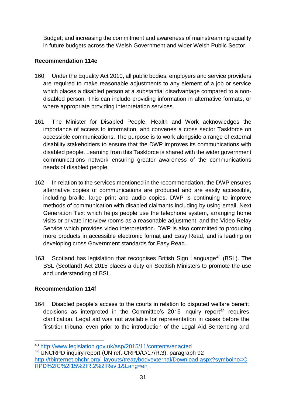Budget; and increasing the commitment and awareness of mainstreaming equality in future budgets across the Welsh Government and wider Welsh Public Sector.

# **Recommendation 114e**

- 160. Under the Equality Act 2010, all public bodies, employers and service providers are required to make reasonable adjustments to any element of a job or service which places a disabled person at a substantial disadvantage compared to a nondisabled person. This can include providing information in alternative formats, or where appropriate providing interpretation services.
- 161. The Minister for Disabled People, Health and Work acknowledges the importance of access to information, and convenes a cross sector Taskforce on accessible communications. The purpose is to work alongside a range of external disability stakeholders to ensure that the DWP improves its communications with disabled people. Learning from this Taskforce is shared with the wider government communications network ensuring greater awareness of the communications needs of disabled people.
- 162. In relation to the services mentioned in the recommendation, the DWP ensures alternative copies of communications are produced and are easily accessible, including braille, large print and audio copies. DWP is continuing to improve methods of communication with disabled claimants including by using email, Next Generation Text which helps people use the telephone system, arranging home visits or private interview rooms as a reasonable adjustment, and the Video Relay Service which provides video interpretation. DWP is also committed to producing more products in accessible electronic format and Easy Read, and is leading on developing cross Government standards for Easy Read.
- 163. Scotland has legislation that recognises British Sign Language<sup>43</sup> (BSL). The BSL (Scotland) Act 2015 places a duty on Scottish Ministers to promote the use and understanding of BSL.

# **Recommendation 114f**

1

164. Disabled people's access to the courts in relation to disputed welfare benefit decisions as interpreted in the Committee's 2016 inquiry report<sup>44</sup> requires clarification. Legal aid was not available for representation in cases before the first-tier tribunal even prior to the introduction of the Legal Aid Sentencing and

<sup>43</sup> <http://www.legislation.gov.uk/asp/2015/11/contents/enacted>

<sup>44</sup> UNCRPD inquiry report (UN ref. CRPD/C/17/R.3), paragraph 92 [http://tbinternet.ohchr.org/\\_layouts/treatybodyexternal/Download.aspx?symbolno=C](http://tbinternet.ohchr.org/_layouts/treatybodyexternal/Download.aspx?symbolno=CRPD%2fC%2f15%2fR.2%2fRev.1&Lang=en) [RPD%2fC%2f15%2fR.2%2fRev.1&Lang=en](http://tbinternet.ohchr.org/_layouts/treatybodyexternal/Download.aspx?symbolno=CRPD%2fC%2f15%2fR.2%2fRev.1&Lang=en) .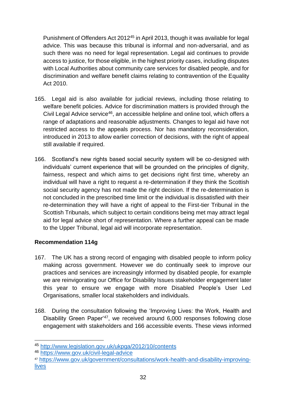Punishment of Offenders Act 2012<sup>45</sup> in April 2013, though it was available for legal advice. This was because this tribunal is informal and non-adversarial, and as such there was no need for legal representation. Legal aid continues to provide access to justice, for those eligible, in the highest priority cases, including disputes with Local Authorities about community care services for disabled people, and for discrimination and welfare benefit claims relating to contravention of the Equality Act 2010.

- 165. Legal aid is also available for judicial reviews, including those relating to welfare benefit policies. Advice for discrimination matters is provided through the Civil Legal Advice service<sup>46</sup>, an accessible helpline and online tool, which offers a range of adaptations and reasonable adjustments. Changes to legal aid have not restricted access to the appeals process. Nor has mandatory reconsideration, introduced in 2013 to allow earlier correction of decisions, with the right of appeal still available if required.
- 166. Scotland's new rights based social security system will be co-designed with individuals' current experience that will be grounded on the principles of dignity, fairness, respect and which aims to get decisions right first time, whereby an individual will have a right to request a re-determination if they think the Scottish social security agency has not made the right decision. If the re-determination is not concluded in the prescribed time limit or the individual is dissatisfied with their re-determination they will have a right of appeal to the First-tier Tribunal in the Scottish Tribunals, which subject to certain conditions being met may attract legal aid for legal advice short of representation. Where a further appeal can be made to the Upper Tribunal, legal aid will incorporate representation.

## **Recommendation 114g**

- 167. The UK has a strong record of engaging with disabled people to inform policy making across government. However we do continually seek to improve our practices and services are increasingly informed by disabled people, for example we are reinvigorating our Office for Disability Issues stakeholder engagement later this year to ensure we engage with more Disabled People's User Led Organisations, smaller local stakeholders and individuals.
- 168. During the consultation following the 'Improving Lives: the Work, Health and Disability Green Paper<sup>47</sup>, we received around 6,000 responses following close engagement with stakeholders and 166 accessible events. These views informed

<sup>45</sup> <http://www.legislation.gov.uk/ukpga/2012/10/contents>

<sup>46</sup> <https://www.gov.uk/civil-legal-advice>

<sup>47</sup> [https://www.gov.uk/government/consultations/work-health-and-disability-improving](https://www.gov.uk/government/consultations/work-health-and-disability-improving-lives)[lives](https://www.gov.uk/government/consultations/work-health-and-disability-improving-lives)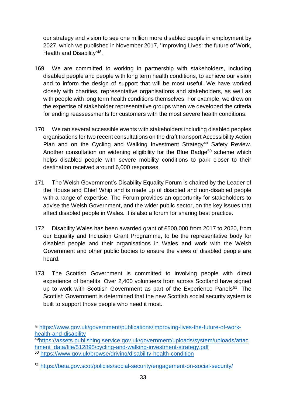our strategy and vision to see one million more disabled people in employment by 2027, which we published in November 2017, 'Improving Lives: the future of Work, Health and Disability<sup>'48</sup>.

- 169. We are committed to working in partnership with stakeholders, including disabled people and people with long term health conditions, to achieve our vision and to inform the design of support that will be most useful. We have worked closely with charities, representative organisations and stakeholders, as well as with people with long term health conditions themselves. For example, we drew on the expertise of stakeholder representative groups when we developed the criteria for ending reassessments for customers with the most severe health conditions.
- 170. We ran several accessible events with stakeholders including disabled peoples organisations for two recent consultations on the draft transport Accessibility Action Plan and on the Cycling and Walking Investment Strategy<sup>49</sup> Safety Review. Another consultation on widening eligibility for the Blue Badge<sup>50</sup> scheme which helps disabled people with severe mobility conditions to park closer to their destination received around 6,000 responses.
- 171. The Welsh Government's Disability Equality Forum is chaired by the Leader of the House and Chief Whip and is made up of disabled and non-disabled people with a range of expertise. The Forum provides an opportunity for stakeholders to advise the Welsh Government, and the wider public sector, on the key issues that affect disabled people in Wales. It is also a forum for sharing best practice.
- 172. Disability Wales has been awarded grant of £500,000 from 2017 to 2020, from our Equality and Inclusion Grant Programme, to be the representative body for disabled people and their organisations in Wales and work with the Welsh Government and other public bodies to ensure the views of disabled people are heard.
- 173. The Scottish Government is committed to involving people with direct experience of benefits. Over 2,400 volunteers from across Scotland have signed up to work with Scottish Government as part of the Experience Panels<sup>51</sup>. The Scottish Government is determined that the new Scottish social security system is built to support those people who need it most.

 $\overline{a}$ 

<sup>48</sup> [https://www.gov.uk/government/publications/improving-lives-the-future-of-work](https://www.gov.uk/government/publications/improving-lives-the-future-of-work-health-and-disability)[health-and-disability](https://www.gov.uk/government/publications/improving-lives-the-future-of-work-health-and-disability)

<sup>49</sup>[https://assets.publishing.service.gov.uk/government/uploads/system/uploads/attac](https://assets.publishing.service.gov.uk/government/uploads/system/uploads/attachment_data/file/512895/cycling-and-walking-investment-strategy.pdf) [hment\\_data/file/512895/cycling-and-walking-investment-strategy.pdf](https://assets.publishing.service.gov.uk/government/uploads/system/uploads/attachment_data/file/512895/cycling-and-walking-investment-strategy.pdf)

<sup>50</sup> <https://www.gov.uk/browse/driving/disability-health-condition>

<sup>51</sup> <https://beta.gov.scot/policies/social-security/engagement-on-social-security/>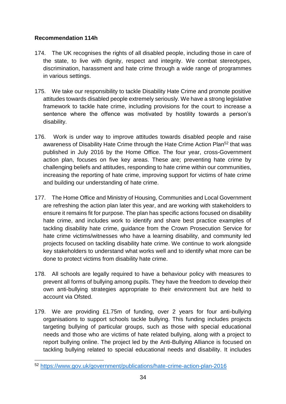# **Recommendation 114h**

- 174. The UK recognises the rights of all disabled people, including those in care of the state, to live with dignity, respect and integrity. We combat stereotypes, discrimination, harassment and hate crime through a wide range of programmes in various settings.
- 175. We take our responsibility to tackle Disability Hate Crime and promote positive attitudes towards disabled people extremely seriously. We have a strong legislative framework to tackle hate crime, including provisions for the court to increase a sentence where the offence was motivated by hostility towards a person's disability.
- 176. Work is under way to improve attitudes towards disabled people and raise awareness of Disability Hate Crime through the Hate Crime Action Plan<sup>52</sup> that was published in July 2016 by the Home Office. The four year, cross-Government action plan, focuses on five key areas. These are; preventing hate crime by challenging beliefs and attitudes, responding to hate crime within our communities, increasing the reporting of hate crime, improving support for victims of hate crime and building our understanding of hate crime.
- 177. The Home Office and Ministry of Housing, Communities and Local Government are refreshing the action plan later this year, and are working with stakeholders to ensure it remains fit for purpose. The plan has specific actions focused on disability hate crime, and includes work to identify and share best practice examples of tackling disability hate crime, guidance from the Crown Prosecution Service for hate crime victims/witnesses who have a learning disability, and community led projects focused on tackling disability hate crime. We continue to work alongside key stakeholders to understand what works well and to identify what more can be done to protect victims from disability hate crime.
- 178. All schools are legally required to have a behaviour policy with measures to prevent all forms of bullying among pupils. They have the freedom to develop their own anti-bullying strategies appropriate to their environment but are held to account via Ofsted.
- 179. We are providing £1.75m of funding, over 2 years for four anti-bullying organisations to support schools tackle bullying. This funding includes projects targeting bullying of particular groups, such as those with special educational needs and those who are victims of hate related bullying, along with a project to report bullying online. The project led by the Anti-Bullying Alliance is focused on tackling bullying related to special educational needs and disability. It includes

 $\overline{a}$ <sup>52</sup> <https://www.gov.uk/government/publications/hate-crime-action-plan-2016>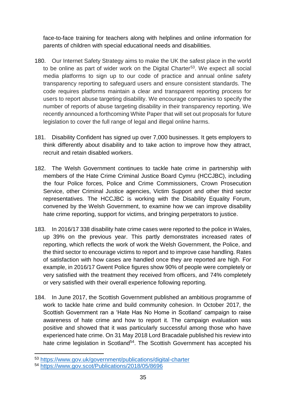face-to-face training for teachers along with helplines and online information for parents of children with special educational needs and disabilities.

- 180. Our Internet Safety Strategy aims to make the UK the safest place in the world to be online as part of wider work on the Digital Charter<sup>53</sup>. We expect all social media platforms to sign up to our code of practice and annual online safety transparency reporting to safeguard users and ensure consistent standards. The code requires platforms maintain a clear and transparent reporting process for users to report abuse targeting disability. We encourage companies to specify the number of reports of abuse targeting disability in their transparency reporting. We recently announced a forthcoming White Paper that will set out proposals for future legislation to cover the full range of legal and illegal online harms.
- 181. Disability Confident has signed up over 7,000 businesses. It gets employers to think differently about disability and to take action to improve how they attract, recruit and retain disabled workers.
- 182. The Welsh Government continues to tackle hate crime in partnership with members of the Hate Crime Criminal Justice Board Cymru (HCCJBC), including the four Police forces, Police and Crime Commissioners, Crown Prosecution Service, other Criminal Justice agencies, Victim Support and other third sector representatives. The HCCJBC is working with the Disability Equality Forum, convened by the Welsh Government, to examine how we can improve disability hate crime reporting, support for victims, and bringing perpetrators to justice.
- 183. In 2016/17 338 disability hate crime cases were reported to the police in Wales, up 39% on the previous year. This partly demonstrates increased rates of reporting, which reflects the work of work the Welsh Government, the Police, and the third sector to encourage victims to report and to improve case handling. Rates of satisfaction with how cases are handled once they are reported are high. For example, in 2016/17 Gwent Police figures show 90% of people were completely or very satisfied with the treatment they received from officers, and 74% completely or very satisfied with their overall experience following reporting.
- 184. In June 2017, the Scottish Government published an ambitious programme of work to tackle hate crime and build community cohesion. In October 2017, the Scottish Government ran a 'Hate Has No Home in Scotland' campaign to raise awareness of hate crime and how to report it. The campaign evaluation was positive and showed that it was particularly successful among those who have experienced hate crime. On 31 May 2018 Lord Bracadale published his review into hate crime legislation in Scotland<sup>54</sup>. The Scottish Government has accepted his

**<sup>.</sup>** <sup>53</sup> <https://www.gov.uk/government/publications/digital-charter>

<sup>54</sup> <https://www.gov.scot/Publications/2018/05/8696>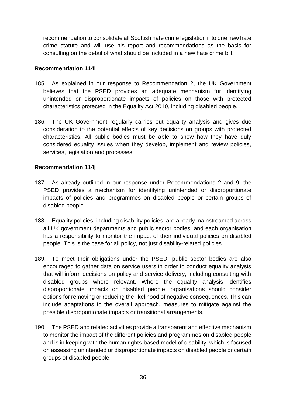recommendation to consolidate all Scottish hate crime legislation into one new hate crime statute and will use his report and recommendations as the basis for consulting on the detail of what should be included in a new hate crime bill.

#### **Recommendation 114i**

- 185. As explained in our response to Recommendation 2, the UK Government believes that the PSED provides an adequate mechanism for identifying unintended or disproportionate impacts of policies on those with protected characteristics protected in the Equality Act 2010, including disabled people.
- 186. The UK Government regularly carries out equality analysis and gives due consideration to the potential effects of key decisions on groups with protected characteristics. All public bodies must be able to show how they have duly considered equality issues when they develop, implement and review policies, services, legislation and processes.

## **Recommendation 114j**

- 187. As already outlined in our response under Recommendations 2 and 9, the PSED provides a mechanism for identifying unintended or disproportionate impacts of policies and programmes on disabled people or certain groups of disabled people.
- 188. Equality policies, including disability policies, are already mainstreamed across all UK government departments and public sector bodies, and each organisation has a responsibility to monitor the impact of their individual policies on disabled people. This is the case for all policy, not just disability-related policies.
- 189. To meet their obligations under the PSED, public sector bodies are also encouraged to gather data on service users in order to conduct equality analysis that will inform decisions on policy and service delivery, including consulting with disabled groups where relevant. Where the equality analysis identifies disproportionate impacts on disabled people, organisations should consider options for removing or reducing the likelihood of negative consequences. This can include adaptations to the overall approach, measures to mitigate against the possible disproportionate impacts or transitional arrangements.
- 190. The PSED and related activities provide a transparent and effective mechanism to monitor the impact of the different policies and programmes on disabled people and is in keeping with the human rights-based model of disability, which is focused on assessing unintended or disproportionate impacts on disabled people or certain groups of disabled people.